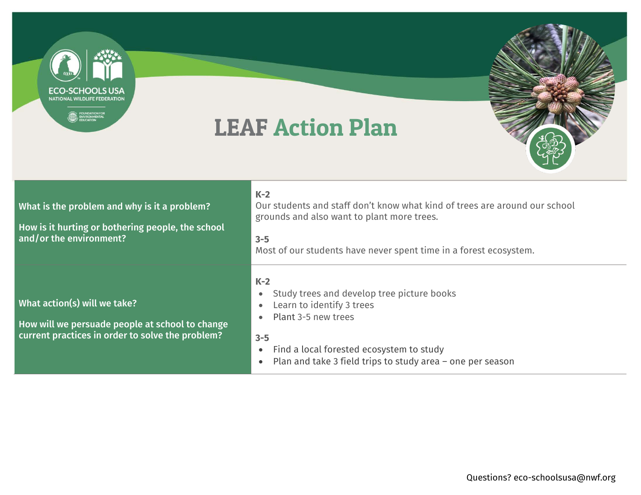

- Find a local forested ecosystem to study
- Plan and take 3 field trips to study area one per season